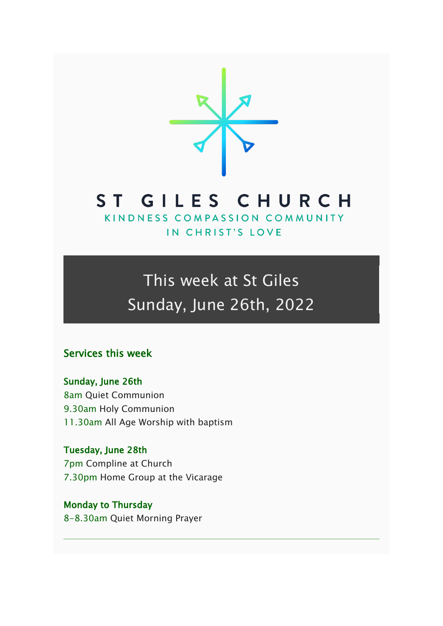

#### ST GILES CHURCH KINDNESS COMPASSION COMMUNITY IN CHRIST'S LOVE

This week at St Giles Sunday, June 26th, 2022

#### Services this week

Sunday, June 26th 8am Quiet Communion 9.30am Holy Communion 11.30am All Age Worship with baptism

Tuesday, June 28th 7pm Compline at Church 7.30pm Home Group at the Vicarage

Monday to Thursday 8-8.30am Quiet Morning Prayer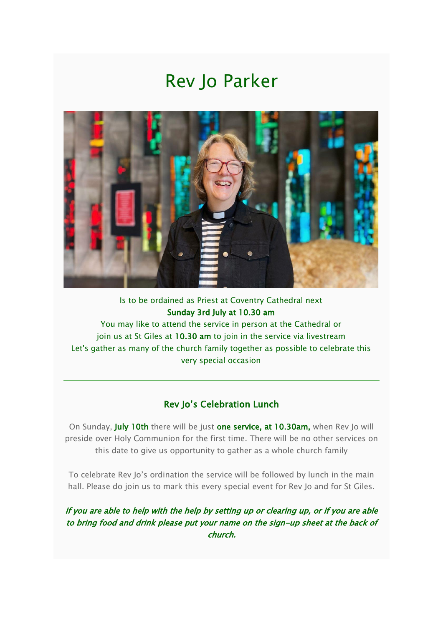### Rev Jo Parker



Is to be ordained as Priest at Coventry Cathedral next Sunday 3rd July at 10.30 am

You may like to attend the service in person at the Cathedral or join us at St Giles at 10.30 am to join in the service via livestream Let's gather as many of the church family together as possible to celebrate this very special occasion

#### Rev Jo's Celebration Lunch

On Sunday, July 10th there will be just one service, at 10.30am, when Rev Jo will preside over Holy Communion for the first time. There will be no other services on this date to give us opportunity to gather as a whole church family

To celebrate Rev Jo's ordination the service will be followed by lunch in the main hall. Please do join us to mark this every special event for Rev Jo and for St Giles.

If you are able to help with the help by setting up or clearing up, or if you are able to bring food and drink please put your name on the sign-up sheet at the back of church.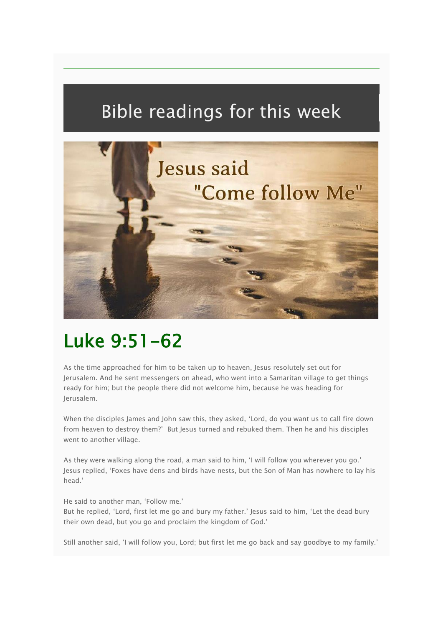## Bible readings for this week



# Luke 9:51-62

As the time approached for him to be taken up to heaven, Jesus resolutely set out for Jerusalem. And he sent messengers on ahead, who went into a Samaritan village to get things ready for him; but the people there did not welcome him, because he was heading for Jerusalem.

When the disciples James and John saw this, they asked, 'Lord, do you want us to call fire down from heaven to destroy them?' But Jesus turned and rebuked them. Then he and his disciples went to another village.

As they were walking along the road, a man said to him, 'I will follow you wherever you go.' Jesus replied, 'Foxes have dens and birds have nests, but the Son of Man has nowhere to lay his head<sup>'</sup>

He said to another man, 'Follow me.'

But he replied, 'Lord, first let me go and bury my father.' Jesus said to him, 'Let the dead bury their own dead, but you go and proclaim the kingdom of God.'

Still another said, 'I will follow you, Lord; but first let me go back and say goodbye to my family.'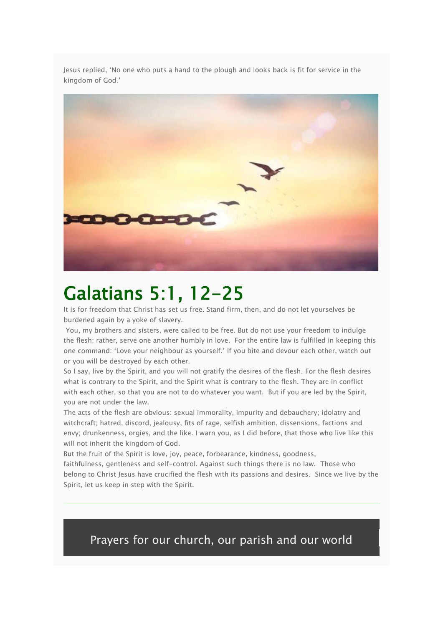Jesus replied, 'No one who puts a hand to the plough and looks back is fit for service in the kingdom of God.'



# Galatians 5:1, 12-25

It is for freedom that Christ has set us free. Stand firm, then, and do not let yourselves be burdened again by a yoke of slavery.

You, my brothers and sisters, were called to be free. But do not use your freedom to indulge the flesh; rather, serve one another humbly in love. For the entire law is fulfilled in keeping this one command: 'Love your neighbour as yourself.' If you bite and devour each other, watch out or you will be destroyed by each other.

So I say, live by the Spirit, and you will not gratify the desires of the flesh. For the flesh desires what is contrary to the Spirit, and the Spirit what is contrary to the flesh. They are in conflict with each other, so that you are not to do whatever you want. But if you are led by the Spirit, you are not under the law.

The acts of the flesh are obvious: sexual immorality, impurity and debauchery; idolatry and witchcraft; hatred, discord, jealousy, fits of rage, selfish ambition, dissensions, factions and envy; drunkenness, orgies, and the like. I warn you, as I did before, that those who live like this will not inherit the kingdom of God.

But the fruit of the Spirit is love, joy, peace, forbearance, kindness, goodness,

faithfulness, gentleness and self-control. Against such things there is no law. Those who belong to Christ Jesus have crucified the flesh with its passions and desires. Since we live by the Spirit, let us keep in step with the Spirit.

Prayers for our church, our parish and our world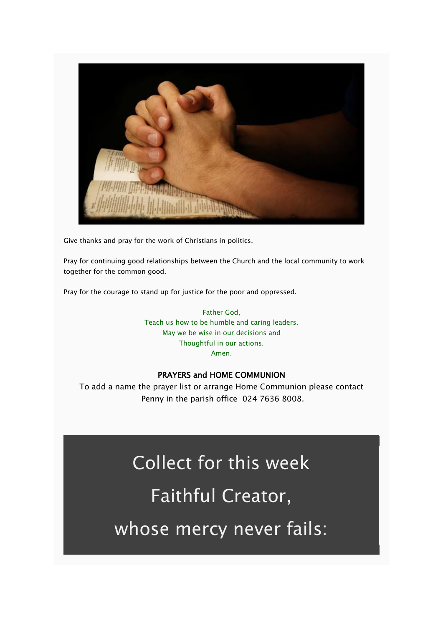

Give thanks and pray for the work of Christians in politics.

Pray for continuing good relationships between the Church and the local community to work together for the common good.

Pray for the courage to stand up for justice for the poor and oppressed.

Father God, Teach us how to be humble and caring leaders. May we be wise in our decisions and Thoughtful in our actions. Amen.

#### PRAYERS and HOME COMMUNION

To add a name the prayer list or arrange Home Communion please contact Penny in the parish office 024 7636 8008.

# Collect for this week

Faithful Creator,

whose mercy never fails: